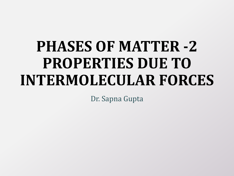# **PHASES OF MATTER -2 PROPERTIES DUE TO INTERMOLECULAR FORCES**

Dr. Sapna Gupta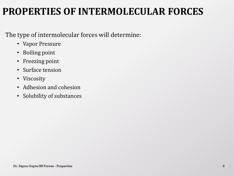### **PROPERTIES OF INTERMOLECULAR FORCES**

### The type of intermolecular forces will determine:

- Vapor Pressure
- Boiling point
- Freezing point
- Surface tension
- Viscosity
- Adhesion and cohesion
- Solubility of substances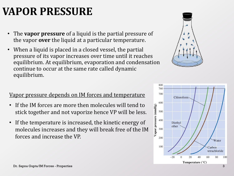# **VAPOR PRESSURE**

- The **vapor pressure** of a liquid is the partial pressure of the vapor **over** the liquid at a particular temperature.
- When a liquid is placed in a closed vessel, the partial pressure of its vapor increases over time until it reaches equilibrium. At equilibrium, evaporation and condensation continue to occur at the same rate called dynamic equilibrium.

#### Vapor pressure depends on IM forces and temperature

- If the IM forces are more then molecules will tend to stick together and not vaporize hence VP will be less.
- If the temperature is increased, the kinetic energy of molecules increases and they will break free of the IM forces and increase the VP.



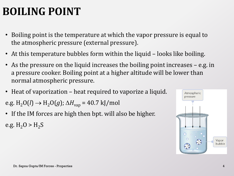# **BOILING POINT**

- Boiling point is the temperature at which the vapor pressure is equal to the atmospheric pressure (external pressure).
- At this temperature bubbles form within the liquid looks like boiling.
- As the pressure on the liquid increases the boiling point increases e.g. in a pressure cooker. Boiling point at a higher altitude will be lower than normal atmospheric pressure.
- Heat of vaporization heat required to vaporize a liquid.

e.g.  $H_2O(l) \rightarrow H_2O(g)$ ;  $\Delta H_{\text{vap}} = 40.7 \text{ kJ/mol}$ 

• If the IM forces are high then bpt. will also be higher.

e.g.  $H_2O > H_2S$ 

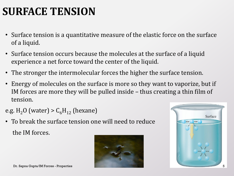# **SURFACE TENSION**

- Surface tension is a quantitative measure of the elastic force on the surface of a liquid.
- Surface tension occurs because the molecules at the surface of a liquid experience a net force toward the center of the liquid.
- The stronger the intermolecular forces the higher the surface tension.
- Energy of molecules on the surface is more so they want to vaporize, but if IM forces are more they will be pulled inside – thus creating a thin film of tension.
- e.g.  $H_2O$  (water) >  $C_6H_{12}$  (hexane)
- To break the surface tension one will need to reduce the IM forces.



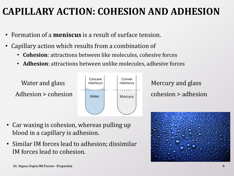### **CAPILLARY ACTION: COHESION AND ADHESION**

- Formation of a **meniscus** is a result of surface tension.
- Capillary action which results from a combination of
	- **Cohesion**: attractions between like molecules, cohesive forces
	- **Adhesion**: attractions between unlike molecules, adhesive forces



- Car waxing is cohesion, whereas pulling up blood in a capillary is adhesion.
- Similar IM forces lead to adhesion; dissimilar IM forces lead to cohesion.

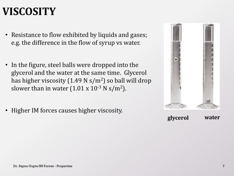# **VISCOSITY**

- Resistance to flow exhibited by liquids and gases; e.g. the difference in the flow of syrup vs water.
- In the figure, steel balls were dropped into the glycerol and the water at the same time. Glycerol has higher viscosity (1.49 N s/m<sup>2</sup>) so ball will drop slower than in water  $(1.01 \times 10^{-3} \text{ N s/m}^2)$ .
- Higher IM forces causes higher viscosity.



**glycerol water**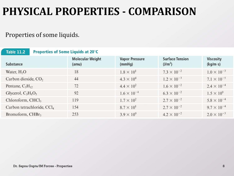# **PHYSICAL PROPERTIES - COMPARISON**

#### Properties of some liquids.

| <b>Properties of Some Liquids at 20°C</b><br><b>Table 11.2</b> |                                  |                                 |                                               |                                      |
|----------------------------------------------------------------|----------------------------------|---------------------------------|-----------------------------------------------|--------------------------------------|
| <b>Substance</b>                                               | <b>Molecular Weight</b><br>(amu) | <b>Vapor Pressure</b><br>(mmHg) | <b>Surface Tension</b><br>(J/m <sup>2</sup> ) | <b>Viscosity</b><br>$(kg/m \cdot s)$ |
| Water, $H_2O$                                                  | 18                               | $1.8 \times 10^{1}$             | $7.3 \times 10^{-2}$                          | $1.0 \times 10^{-3}$                 |
| Carbon dioxide, $CO2$                                          | 44                               | $4.3 \times 10^{4}$             | $1.2 \times 10^{-3}$                          | $7.1 \times 10^{-5}$                 |
| Pentane, $C_5H_{12}$                                           | 72                               | $4.4 \times 10^{2}$             | $1.6 \times 10^{-2}$                          | $2.4 \times 10^{-4}$                 |
| Glycerol, $C_3H_8O_3$                                          | 92                               | $1.6 \times 10^{-4}$            | $6.3 \times 10^{-2}$                          | $1.5 \times 10^{0}$                  |
| Chloroform, CHCl <sub>3</sub>                                  | 119                              | $1.7 \times 10^{2}$             | $2.7 \times 10^{-2}$                          | $5.8 \times 10^{-4}$                 |
| Carbon tetrachloride, CCl <sub>4</sub>                         | 154                              | $8.7 \times 10^{1}$             | $2.7 \times 10^{-2}$                          | $9.7 \times 10^{-4}$                 |
| Bromoform, $CHBr3$                                             | 253                              | $3.9 \times 10^{0}$             | $4.2 \times 10^{-2}$                          | $2.0 \times 10^{-3}$                 |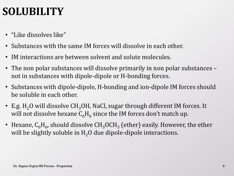# **SOLUBILITY**

- "Like dissolves like"
- Substances with the same IM forces will dissolve in each other.
- IM interactions are between solvent and solute molecules.
- The non polar substances will dissolve primarily in non polar substances not in substances with dipole-dipole or H-bonding forces.
- Substances with dipole-dipole, H-bonding and ion-dipole IM forces should be soluble in each other.
- E.g.  $H_2O$  will dissolve CH<sub>3</sub>OH, NaCl, sugar through different IM forces. It will not dissolve hexane  $\mathsf{C_6H_6}$  since the IM forces don't match up.
- Hexane,  $C_6H_6$ , should dissolve  $CH_3OCH_3$  (ether) easily. However, the ether will be slightly soluble in  $H<sub>2</sub>O$  due dipole-dipole interactions.